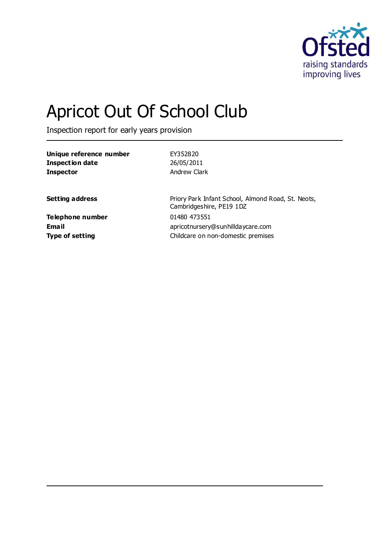

# Apricot Out Of School Club

Inspection report for early years provision

| EY352820                                                                       |
|--------------------------------------------------------------------------------|
| 26/05/2011                                                                     |
| Andrew Clark                                                                   |
|                                                                                |
| Priory Park Infant School, Almond Road, St. Neots,<br>Cambridgeshire, PE19 1DZ |
| 01480 473551                                                                   |
| apricotnursery@sunhilldaycare.com                                              |
| Childcare on non-domestic premises                                             |
|                                                                                |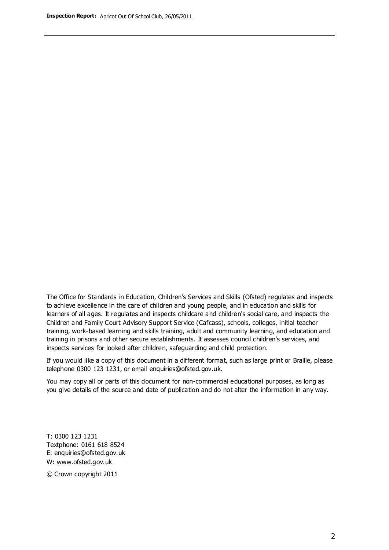The Office for Standards in Education, Children's Services and Skills (Ofsted) regulates and inspects to achieve excellence in the care of children and young people, and in education and skills for learners of all ages. It regulates and inspects childcare and children's social care, and inspects the Children and Family Court Advisory Support Service (Cafcass), schools, colleges, initial teacher training, work-based learning and skills training, adult and community learning, and education and training in prisons and other secure establishments. It assesses council children's services, and inspects services for looked after children, safeguarding and child protection.

If you would like a copy of this document in a different format, such as large print or Braille, please telephone 0300 123 1231, or email enquiries@ofsted.gov.uk.

You may copy all or parts of this document for non-commercial educational purposes, as long as you give details of the source and date of publication and do not alter the information in any way.

T: 0300 123 1231 Textphone: 0161 618 8524 E: enquiries@ofsted.gov.uk W: [www.ofsted.gov.uk](http://www.ofsted.gov.uk/)

© Crown copyright 2011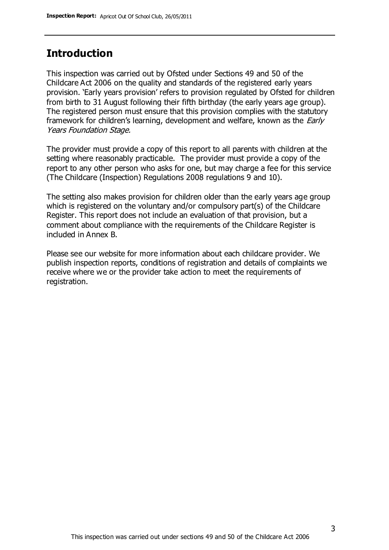## **Introduction**

This inspection was carried out by Ofsted under Sections 49 and 50 of the Childcare Act 2006 on the quality and standards of the registered early years provision. 'Early years provision' refers to provision regulated by Ofsted for children from birth to 31 August following their fifth birthday (the early years age group). The registered person must ensure that this provision complies with the statutory framework for children's learning, development and welfare, known as the *Early* Years Foundation Stage.

The provider must provide a copy of this report to all parents with children at the setting where reasonably practicable. The provider must provide a copy of the report to any other person who asks for one, but may charge a fee for this service (The Childcare (Inspection) Regulations 2008 regulations 9 and 10).

The setting also makes provision for children older than the early years age group which is registered on the voluntary and/or compulsory part(s) of the Childcare Register. This report does not include an evaluation of that provision, but a comment about compliance with the requirements of the Childcare Register is included in Annex B.

Please see our website for more information about each childcare provider. We publish inspection reports, conditions of registration and details of complaints we receive where we or the provider take action to meet the requirements of registration.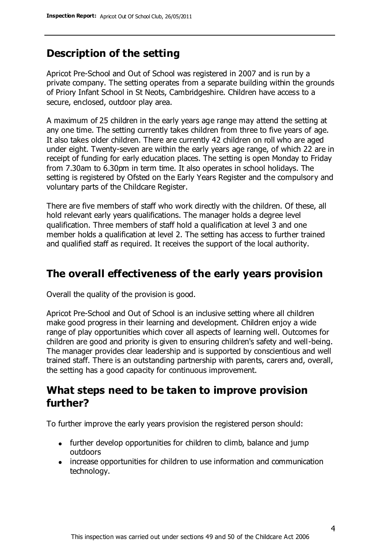# **Description of the setting**

Apricot Pre-School and Out of School was registered in 2007 and is run by a private company. The setting operates from a separate building within the grounds of Priory Infant School in St Neots, Cambridgeshire. Children have access to a secure, enclosed, outdoor play area.

A maximum of 25 children in the early years age range may attend the setting at any one time. The setting currently takes children from three to five years of age. It also takes older children. There are currently 42 children on roll who are aged under eight. Twenty-seven are within the early years age range, of which 22 are in receipt of funding for early education places. The setting is open Monday to Friday from 7.30am to 6.30pm in term time. It also operates in school holidays. The setting is registered by Ofsted on the Early Years Register and the compulsory and voluntary parts of the Childcare Register.

There are five members of staff who work directly with the children. Of these, all hold relevant early years qualifications. The manager holds a degree level qualification. Three members of staff hold a qualification at level 3 and one member holds a qualification at level 2. The setting has access to further trained and qualified staff as required. It receives the support of the local authority.

## **The overall effectiveness of the early years provision**

Overall the quality of the provision is good.

Apricot Pre-School and Out of School is an inclusive setting where all children make good progress in their learning and development. Children enjoy a wide range of play opportunities which cover all aspects of learning well. Outcomes for children are good and priority is given to ensuring children's safety and well-being. The manager provides clear leadership and is supported by conscientious and well trained staff. There is an outstanding partnership with parents, carers and, overall, the setting has a good capacity for continuous improvement.

## **What steps need to be taken to improve provision further?**

To further improve the early years provision the registered person should:

- further develop opportunities for children to climb, balance and jump outdoors
- increase opportunities for children to use information and communication technology.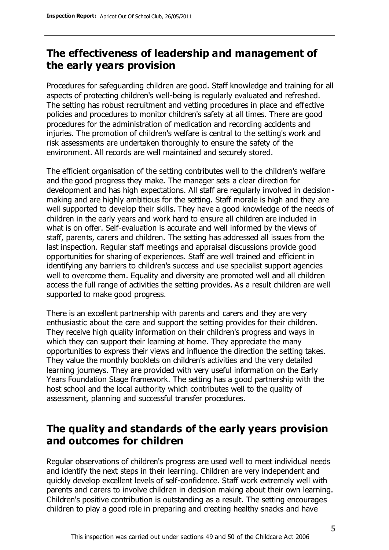# **The effectiveness of leadership and management of the early years provision**

Procedures for safeguarding children are good. Staff knowledge and training for all aspects of protecting children's well-being is regularly evaluated and refreshed. The setting has robust recruitment and vetting procedures in place and effective policies and procedures to monitor children's safety at all times. There are good procedures for the administration of medication and recording accidents and injuries. The promotion of children's welfare is central to the setting's work and risk assessments are undertaken thoroughly to ensure the safety of the environment. All records are well maintained and securely stored.

The efficient organisation of the setting contributes well to the children's welfare and the good progress they make. The manager sets a clear direction for development and has high expectations. All staff are regularly involved in decisionmaking and are highly ambitious for the setting. Staff morale is high and they are well supported to develop their skills. They have a good knowledge of the needs of children in the early years and work hard to ensure all children are included in what is on offer. Self-evaluation is accurate and well informed by the views of staff, parents, carers and children. The setting has addressed all issues from the last inspection. Regular staff meetings and appraisal discussions provide good opportunities for sharing of experiences. Staff are well trained and efficient in identifying any barriers to children's success and use specialist support agencies well to overcome them. Equality and diversity are promoted well and all children access the full range of activities the setting provides. As a result children are well supported to make good progress.

There is an excellent partnership with parents and carers and they are very enthusiastic about the care and support the setting provides for their children. They receive high quality information on their children's progress and ways in which they can support their learning at home. They appreciate the many opportunities to express their views and influence the direction the setting takes. They value the monthly booklets on children's activities and the very detailed learning journeys. They are provided with very useful information on the Early Years Foundation Stage framework. The setting has a good partnership with the host school and the local authority which contributes well to the quality of assessment, planning and successful transfer procedures.

# **The quality and standards of the early years provision and outcomes for children**

Regular observations of children's progress are used well to meet individual needs and identify the next steps in their learning. Children are very independent and quickly develop excellent levels of self-confidence. Staff work extremely well with parents and carers to involve children in decision making about their own learning. Children's positive contribution is outstanding as a result. The setting encourages children to play a good role in preparing and creating healthy snacks and have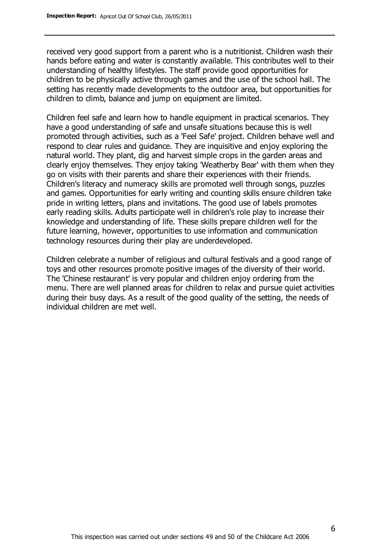received very good support from a parent who is a nutritionist. Children wash their hands before eating and water is constantly available. This contributes well to their understanding of healthy lifestyles. The staff provide good opportunities for children to be physically active through games and the use of the school hall. The setting has recently made developments to the outdoor area, but opportunities for children to climb, balance and jump on equipment are limited.

Children feel safe and learn how to handle equipment in practical scenarios. They have a good understanding of safe and unsafe situations because this is well promoted through activities, such as a 'Feel Safe' project. Children behave well and respond to clear rules and guidance. They are inquisitive and enjoy exploring the natural world. They plant, dig and harvest simple crops in the garden areas and clearly enjoy themselves. They enjoy taking 'Weatherby Bear' with them when they go on visits with their parents and share their experiences with their friends. Children's literacy and numeracy skills are promoted well through songs, puzzles and games. Opportunities for early writing and counting skills ensure children take pride in writing letters, plans and invitations. The good use of labels promotes early reading skills. Adults participate well in children's role play to increase their knowledge and understanding of life. These skills prepare children well for the future learning, however, opportunities to use information and communication technology resources during their play are underdeveloped.

Children celebrate a number of religious and cultural festivals and a good range of toys and other resources promote positive images of the diversity of their world. The 'Chinese restaurant' is very popular and children enjoy ordering from the menu. There are well planned areas for children to relax and pursue quiet activities during their busy days. As a result of the good quality of the setting, the needs of individual children are met well.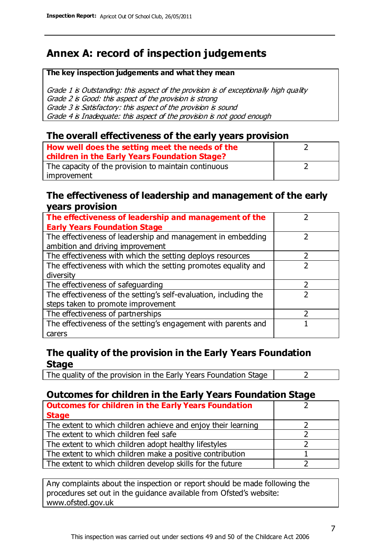# **Annex A: record of inspection judgements**

#### **The key inspection judgements and what they mean**

Grade 1 is Outstanding: this aspect of the provision is of exceptionally high quality Grade 2 is Good: this aspect of the provision is strong Grade 3 is Satisfactory: this aspect of the provision is sound Grade 4 is Inadequate: this aspect of the provision is not good enough

#### **The overall effectiveness of the early years provision**

| How well does the setting meet the needs of the<br>children in the Early Years Foundation Stage? |  |
|--------------------------------------------------------------------------------------------------|--|
| The capacity of the provision to maintain continuous                                             |  |
| improvement                                                                                      |  |

#### **The effectiveness of leadership and management of the early years provision**

| The effectiveness of leadership and management of the             |  |
|-------------------------------------------------------------------|--|
| <b>Early Years Foundation Stage</b>                               |  |
| The effectiveness of leadership and management in embedding       |  |
| ambition and driving improvement                                  |  |
| The effectiveness with which the setting deploys resources        |  |
| The effectiveness with which the setting promotes equality and    |  |
| diversity                                                         |  |
| The effectiveness of safeguarding                                 |  |
| The effectiveness of the setting's self-evaluation, including the |  |
| steps taken to promote improvement                                |  |
| The effectiveness of partnerships                                 |  |
| The effectiveness of the setting's engagement with parents and    |  |
| carers                                                            |  |

### **The quality of the provision in the Early Years Foundation Stage**

The quality of the provision in the Early Years Foundation Stage  $\vert$  2

## **Outcomes for children in the Early Years Foundation Stage**

| <b>Outcomes for children in the Early Years Foundation</b>    |  |
|---------------------------------------------------------------|--|
| <b>Stage</b>                                                  |  |
| The extent to which children achieve and enjoy their learning |  |
| The extent to which children feel safe                        |  |
| The extent to which children adopt healthy lifestyles         |  |
| The extent to which children make a positive contribution     |  |
| The extent to which children develop skills for the future    |  |

Any complaints about the inspection or report should be made following the procedures set out in the guidance available from Ofsted's website: www.ofsted.gov.uk